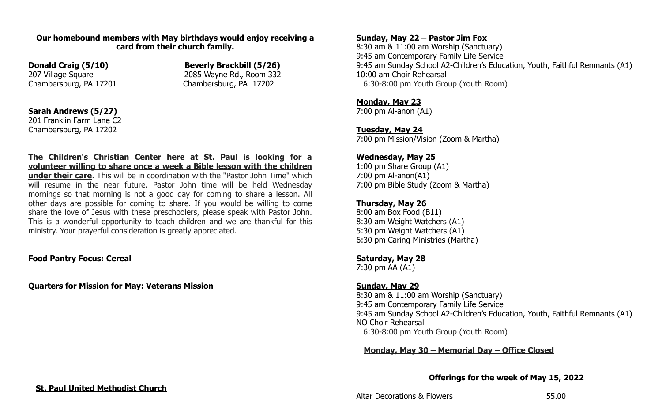#### **Our homebound members with May birthdays would enjoy receiving a card from their church family.**

**Donald Craig (5/10) Beverly Brackbill (5/26)** 207 Village Square 2085 Wayne Rd., Room 332 Chambersburg, PA 17201 Chambersburg, PA 17202

## **Sarah Andrews (5/27)**

201 Franklin Farm Lane C2 Chambersburg, PA 17202

**The Children's Christian Center here at St. Paul is looking for a volunteer willing to share once a week a Bible lesson with the children under their care**. This will be in coordination with the "Pastor John Time" which will resume in the near future. Pastor John time will be held Wednesday mornings so that morning is not a good day for coming to share a lesson. All other days are possible for coming to share. If you would be willing to come share the love of Jesus with these preschoolers, please speak with Pastor John. This is a wonderful opportunity to teach children and we are thankful for this ministry. Your prayerful consideration is greatly appreciated.

#### **Food Pantry Focus: Cereal**

**Quarters for Mission for May: Veterans Mission**

## **Sunday, May 22 – Pastor Jim Fox**

8:30 am & 11:00 am Worship (Sanctuary) 9:45 am Contemporary Family Life Service 9:45 am Sunday School A2-Children's Education, Youth, Faithful Remnants (A1) 10:00 am Choir Rehearsal 6:30-8:00 pm Youth Group (Youth Room)

## **Monday, May 23**

7:00 pm Al-anon (A1)

# **Tuesday, May 24**

7:00 pm Mission/Vision (Zoom & Martha)

# **Wednesday, May 25**

1:00 pm Share Group (A1) 7:00 pm Al-anon(A1) 7:00 pm Bible Study (Zoom & Martha)

## **Thursday, May 26**

8:00 am Box Food (B11) 8:30 am Weight Watchers (A1) 5:30 pm Weight Watchers (A1) 6:30 pm Caring Ministries (Martha)

## **Saturday, May 28**

7:30 pm AA (A1)

## **Sunday, May 29**

8:30 am & 11:00 am Worship (Sanctuary) 9:45 am Contemporary Family Life Service 9:45 am Sunday School A2-Children's Education, Youth, Faithful Remnants (A1) NO Choir Rehearsal 6:30-8:00 pm Youth Group (Youth Room)

## **Monday, May 30 – Memorial Day – Office Closed**

#### **Offerings for the week of May 15, 2022**

Altar Decorations & Flowers 65.00

#### **St. Paul United Methodist Church**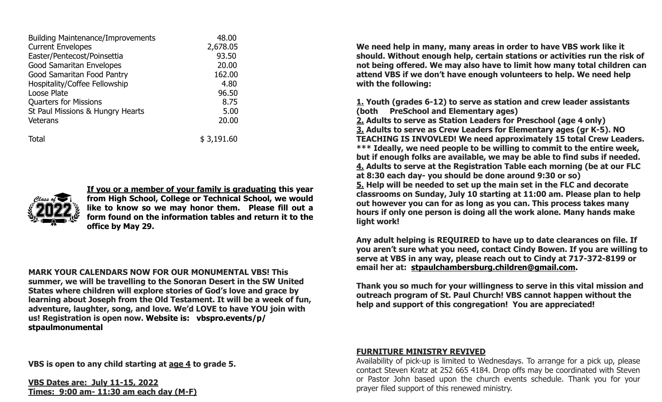| <b>Building Maintenance/Improvements</b> | 48.00      |
|------------------------------------------|------------|
| <b>Current Envelopes</b>                 | 2,678.05   |
| Easter/Pentecost/Poinsettia              | 93.50      |
| <b>Good Samaritan Envelopes</b>          | 20,00      |
| Good Samaritan Food Pantry               | 162.00     |
| Hospitality/Coffee Fellowship            | 4.80       |
| Loose Plate                              | 96.50      |
| <b>Quarters for Missions</b>             | 8.75       |
| St Paul Missions & Hungry Hearts         | 5.00       |
| <b>Veterans</b>                          | 20,00      |
| Total                                    | \$3,191.60 |



**If you or a member of your family is graduating this year from High School, College or Technical School, we would like to know so we may honor them. Please fill out a form found on the information tables and return it to the office by May 29.**

**MARK YOUR CALENDARS NOW FOR OUR MONUMENTAL VBS! This summer, we will be travelling to the Sonoran Desert in the SW United States where children will explore stories of God's love and grace by learning about Joseph from the Old Testament. It will be a week of fun, adventure, laughter, song, and love. We'd LOVE to have YOU join with us! Registration is open now. Website is: vbspro.events/p/ stpaulmonumental**

**We need help in many, many areas in order to have VBS work like it should. Without enough help, certain stations or activities run the risk of not being offered. We may also have to limit how many total children can attend VBS if we don't have enough volunteers to help. We need help with the following:**

**1. Youth (grades 6-12) to serve as station and crew leader assistants (both PreSchool and Elementary ages) 2. Adults to serve as Station Leaders for Preschool (age 4 only) 3. Adults to serve as Crew Leaders for Elementary ages (gr K-5). NO TEACHING IS INVOVLED! We need approximately 15 total Crew Leaders. \*\*\* Ideally, we need people to be willing to commit to the entire week, but if enough folks are available, we may be able to find subs if needed. 4. Adults to serve at the Registration Table each morning (be at our FLC at 8:30 each day- you should be done around 9:30 or so) 5. Help will be needed to set up the main set in the FLC and decorate classrooms on Sunday, July 10 starting at 11:00 am. Please plan to help out however you can for as long as you can. This process takes many hours if only one person is doing all the work alone. Many hands make light work!**

**Any adult helping is REQUIRED to have up to date clearances on file. If you aren't sure what you need, contact Cindy Bowen. If you are willing to serve at VBS in any way, please reach out to Cindy at 717-372-8199 or email her at: [stpaulchambersburg.children@gmail.com](mailto:stpaulchambersburg.children@gmail.com).**

**Thank you so much for your willingness to serve in this vital mission and outreach program of St. Paul Church! VBS cannot happen without the help and support of this congregation! You are appreciated!** 

**VBS is open to any child starting at age 4 to grade 5.**

**VBS Dates are: July 11-15, 2022 Times: 9:00 am- 11:30 am each day (M-F)**

#### **FURNITURE MINISTRY REVIVED**

Availability of pick-up is limited to Wednesdays. To arrange for a pick up, please contact Steven Kratz at 252 665 4184. Drop offs may be coordinated with Steven or Pastor John based upon the church events schedule. Thank you for your prayer filed support of this renewed ministry.